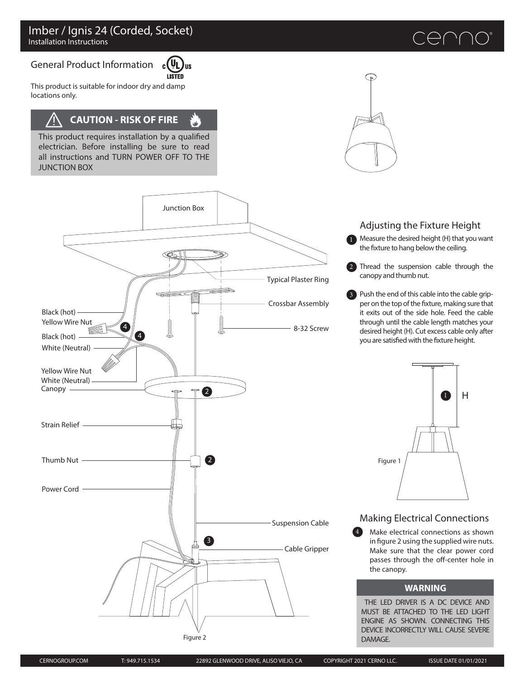#### General Product Information c ( **LISTED**

This product is suitable for indoor dry and damp locations only.

# **CAUTION - RISK OF FIRE**

This product requires installation by a qualified electrician. Before installing be sure to read all instructions and TURN POWER OFF TO THE JUNCTION BOX





# Adjusting the Fixture Height

 $\bigoplus$  ( ) (

1 Measure the desired height (H) that you want the fixture to hang below the ceiling.

2 Thread the suspension cable through the canopy and thumb nut.

Push the end of this cable into the cable grip-3 per on the top of the fixture, making sure that it exits out of the side hole. Feed the cable through until the cable length matches your desired height (H). Cut excess cable only after you are satisfied with the fixture height.



## Making Electrical Connections

Make electrical connections as shown in figure 2 using the supplied wire nuts. Make sure that the clear power cord passes through the off-center hole in the canopy. 4

#### **WARNING**

THE LED DRIVER IS A DC DEVICE AND MUST BE ATTACHED TO THE LED LIGHT ENGINE AS SHOWN. CONNECTING THIS DEVICE INCORRECTLY WILL CAUSE SEVERE DAMAGE.



Figure 2

Junction Box

US

 $\mathbf{u}'$